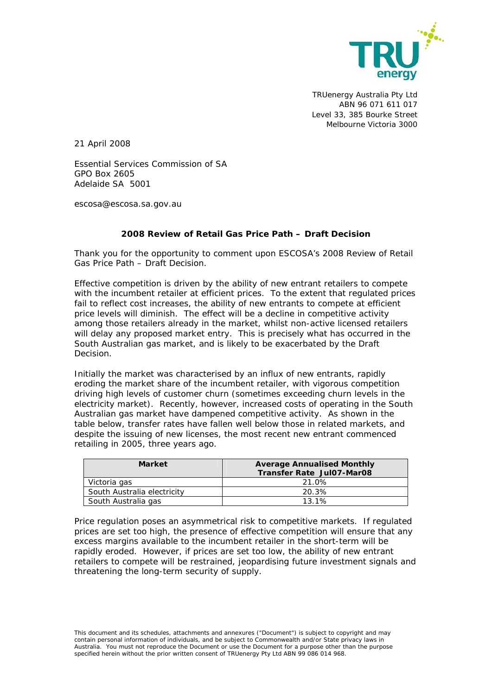

TRUenergy Australia Pty Ltd ABN 96 071 611 017 Level 33, 385 Bourke Street Melbourne Victoria 3000

21 April 2008

Essential Services Commission of SA GPO Box 2605 Adelaide SA 5001

escosa@escosa.sa.gov.au

## **2008 Review of Retail Gas Price Path – Draft Decision**

Thank you for the opportunity to comment upon ESCOSA's *2008 Review of Retail Gas Price Path – Draft Decision.*

Effective competition is driven by the ability of new entrant retailers to compete with the incumbent retailer at efficient prices. To the extent that regulated prices fail to reflect cost increases, the ability of new entrants to compete at efficient price levels will diminish. The effect will be a decline in competitive activity among those retailers already in the market, whilst non-active licensed retailers will delay any proposed market entry. This is precisely what has occurred in the South Australian gas market, and is likely to be exacerbated by the Draft Decision.

Initially the market was characterised by an influx of new entrants, rapidly eroding the market share of the incumbent retailer, with vigorous competition driving high levels of customer churn (sometimes exceeding churn levels in the electricity market). Recently, however, increased costs of operating in the South Australian gas market have dampened competitive activity. As shown in the table below, transfer rates have fallen well below those in related markets, and despite the issuing of new licenses, the most recent new entrant commenced retailing in 2005, three years ago.

| <b>Market</b>               | <b>Average Annualised Monthly</b><br><b>Transfer Rate Jul07-Mar08</b> |
|-----------------------------|-----------------------------------------------------------------------|
| Victoria gas                | 21.0%                                                                 |
| South Australia electricity | 20.3%                                                                 |
| South Australia gas         | 13 1%                                                                 |

Price regulation poses an asymmetrical risk to competitive markets. If regulated prices are set too high, the presence of effective competition will ensure that any excess margins available to the incumbent retailer in the short-term will be rapidly eroded. However, if prices are set too low, the ability of new entrant retailers to compete will be restrained, jeopardising future investment signals and threatening the long-term security of supply.

This document and its schedules, attachments and annexures ("Document") is subject to copyright and may contain personal information of individuals, and be subject to Commonwealth and/or State privacy laws in Australia. You must not reproduce the Document or use the Document for a purpose other than the purpose specified herein without the prior written consent of TRUenergy Pty Ltd ABN 99 086 014 968.